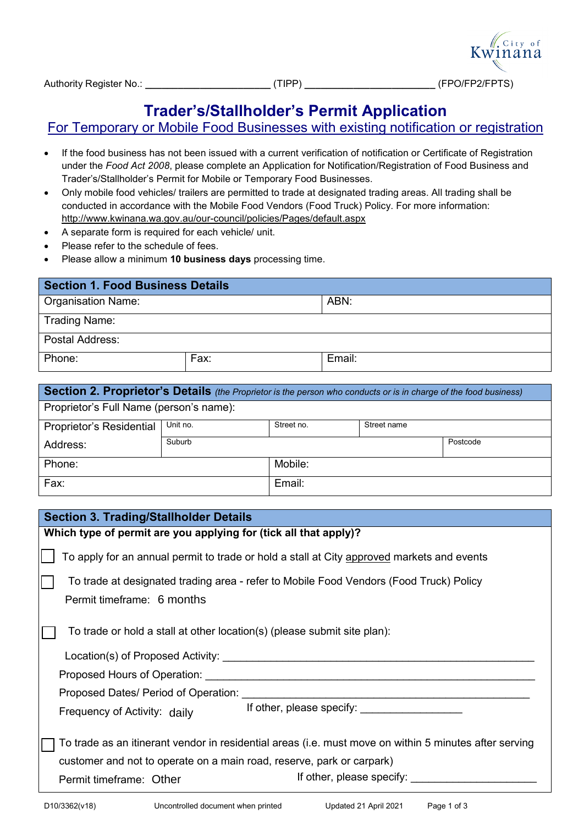

## **Trader's/Stallholder's Permit Application**

## For Temporary or Mobile Food Businesses with existing notification or registration

- If the food business has not been issued with a current verification of notification or Certificate of Registration under the *Food Act 2008*, please complete an Application for Notification/Registration of Food Business and Trader's/Stallholder's Permit for Mobile or Temporary Food Businesses.
- Only mobile food vehicles/ trailers are permitted to trade at designated trading areas. All trading shall be conducted in accordance with the Mobile Food Vendors (Food Truck) Policy. For more information: <http://www.kwinana.wa.gov.au/our-council/policies/Pages/default.aspx>
- A separate form is required for each vehicle/ unit.
- Please refer to the schedule of fees.
- Please allow a minimum **10 business days** processing time.

| <b>Section 1. Food Business Details</b> |      |        |  |  |  |
|-----------------------------------------|------|--------|--|--|--|
| <b>Organisation Name:</b>               |      | ABN:   |  |  |  |
| <b>Trading Name:</b>                    |      |        |  |  |  |
| Postal Address:                         |      |        |  |  |  |
| Phone:                                  | Fax: | Email: |  |  |  |

| Section 2. Proprietor's Details (the Proprietor is the person who conducts or is in charge of the food business) |          |            |             |          |  |  |
|------------------------------------------------------------------------------------------------------------------|----------|------------|-------------|----------|--|--|
| Proprietor's Full Name (person's name):                                                                          |          |            |             |          |  |  |
| Proprietor's Residential                                                                                         | Unit no. | Street no. | Street name |          |  |  |
| Address:                                                                                                         | Suburb   |            |             | Postcode |  |  |
| Phone:                                                                                                           |          | Mobile:    |             |          |  |  |
| Fax:                                                                                                             |          | Email:     |             |          |  |  |

## **Section 3. Trading/Stallholder Details**

| Which type of permit are you applying for (tick all that apply)?                                       |  |  |
|--------------------------------------------------------------------------------------------------------|--|--|
| To apply for an annual permit to trade or hold a stall at City approved markets and events             |  |  |
| To trade at designated trading area - refer to Mobile Food Vendors (Food Truck) Policy                 |  |  |
|                                                                                                        |  |  |
| Permit timeframe: 6 months                                                                             |  |  |
|                                                                                                        |  |  |
| To trade or hold a stall at other location(s) (please submit site plan):                               |  |  |
|                                                                                                        |  |  |
|                                                                                                        |  |  |
|                                                                                                        |  |  |
|                                                                                                        |  |  |
| If other, please specify: If other, please specify:                                                    |  |  |
| Frequency of Activity: daily                                                                           |  |  |
|                                                                                                        |  |  |
| To trade as an itinerant vendor in residential areas (i.e. must move on within 5 minutes after serving |  |  |
| customer and not to operate on a main road, reserve, park or carpark)                                  |  |  |
| If other, please specify: If other, please specify:<br>Permit timeframe: Other                         |  |  |
|                                                                                                        |  |  |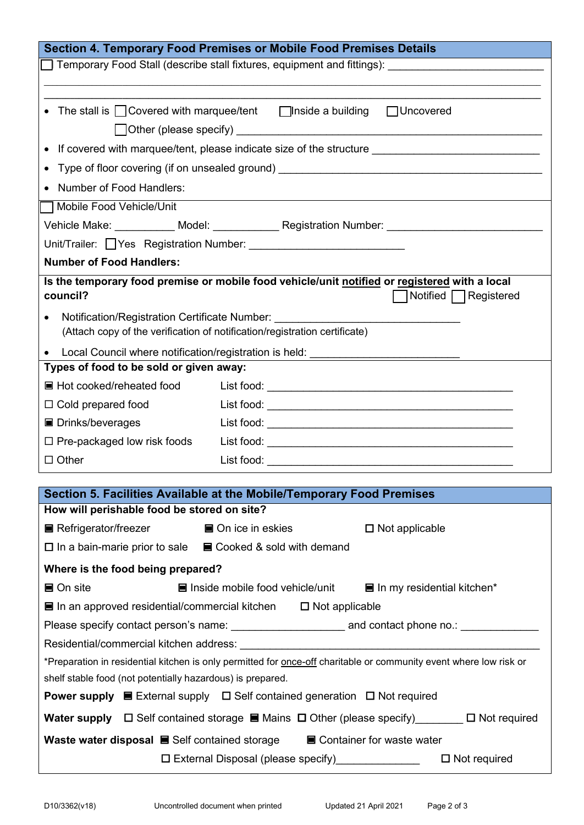| Section 4. Temporary Food Premises or Mobile Food Premises Details                                                       |                    |                                                     |                                           |
|--------------------------------------------------------------------------------------------------------------------------|--------------------|-----------------------------------------------------|-------------------------------------------|
| ◯ Temporary Food Stall (describe stall fixtures, equipment and fittings):                                                |                    |                                                     |                                           |
|                                                                                                                          |                    |                                                     |                                           |
| • The stall is $\Box$ Covered with marquee/tent $\Box$ Inside a building                                                 |                    |                                                     | □ Uncovered                               |
|                                                                                                                          |                    |                                                     |                                           |
|                                                                                                                          |                    |                                                     |                                           |
| Type of floor covering (if on unsealed ground) _________________________________                                         |                    |                                                     |                                           |
| Number of Food Handlers:                                                                                                 |                    |                                                     |                                           |
| Mobile Food Vehicle/Unit                                                                                                 |                    |                                                     |                                           |
| Vehicle Make: ___________ Model: _____________ Registration Number: _______________________________                      |                    |                                                     |                                           |
|                                                                                                                          |                    |                                                     |                                           |
| <b>Number of Food Handlers:</b>                                                                                          |                    |                                                     |                                           |
| Is the temporary food premise or mobile food vehicle/unit notified or registered with a local                            |                    |                                                     |                                           |
| council?                                                                                                                 |                    |                                                     | Notified □ Registered                     |
| Notification/Registration Certificate Number:<br>$\bullet$                                                               |                    |                                                     |                                           |
| (Attach copy of the verification of notification/registration certificate)                                               |                    |                                                     |                                           |
| Local Council where notification/registration is held: _________________________<br>$\bullet$                            |                    |                                                     |                                           |
| Types of food to be sold or given away:                                                                                  |                    |                                                     |                                           |
| ■ Hot cooked/reheated food                                                                                               |                    |                                                     |                                           |
| $\Box$ Cold prepared food                                                                                                |                    |                                                     |                                           |
| ■ Drinks/beverages                                                                                                       |                    |                                                     |                                           |
| $\Box$ Pre-packaged low risk foods                                                                                       |                    |                                                     |                                           |
| $\Box$ Other                                                                                                             |                    |                                                     |                                           |
| Section 5. Facilities Available at the Mobile/Temporary Food Premises                                                    |                    |                                                     |                                           |
| How will perishable food be stored on site?                                                                              |                    |                                                     |                                           |
| ■ Refrigerator/freezer                                                                                                   | ■ On ice in eskies |                                                     | $\square$ Not applicable                  |
| $\Box$ In a bain-marie prior to sale $\Box$ Cooked & sold with demand                                                    |                    |                                                     |                                           |
| Where is the food being prepared?                                                                                        |                    |                                                     |                                           |
| ■ On site                                                                                                                |                    | $\blacksquare$ Inside mobile food vehicle/unit      | $\blacksquare$ In my residential kitchen* |
| ■ In an approved residential/commercial kitchen $□$ Not applicable                                                       |                    |                                                     |                                           |
|                                                                                                                          |                    |                                                     |                                           |
|                                                                                                                          |                    |                                                     |                                           |
| *Preparation in residential kitchen is only permitted for once-off charitable or community event where low risk or       |                    |                                                     |                                           |
| shelf stable food (not potentially hazardous) is prepared.                                                               |                    |                                                     |                                           |
| <b>Power supply </b> $\blacksquare$ External supply $\Box$ Self contained generation $\Box$ Not required                 |                    |                                                     |                                           |
| <b>Water supply</b> $\Box$ Self contained storage $\blacksquare$ Mains $\Box$ Other (please specify) $\Box$ Not required |                    |                                                     |                                           |
| Waste water disposal $\blacksquare$ Self contained storage $\blacksquare$ Container for waste water                      |                    |                                                     |                                           |
|                                                                                                                          |                    | □ External Disposal (please specify)_______________ | $\Box$ Not required                       |